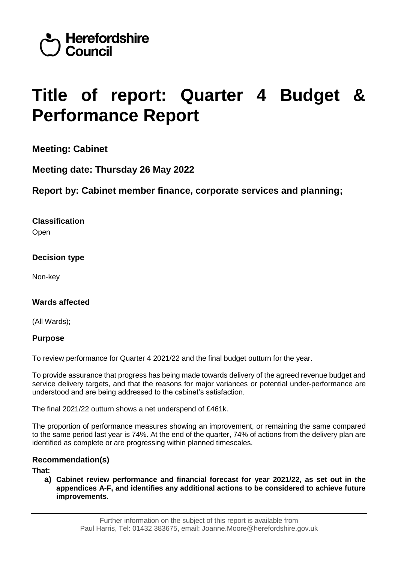

# **Title of report: Quarter 4 Budget & Performance Report**

**Meeting: Cabinet**

**Meeting date: Thursday 26 May 2022**

**Report by: Cabinet member finance, corporate services and planning;** 

# **Classification**

**Open** 

# **Decision type**

Non-key

# **Wards affected**

(All Wards);

# **Purpose**

To review performance for Quarter 4 2021/22 and the final budget outturn for the year.

To provide assurance that progress has being made towards delivery of the agreed revenue budget and service delivery targets, and that the reasons for major variances or potential under-performance are understood and are being addressed to the cabinet's satisfaction.

The final 2021/22 outturn shows a net underspend of £461k.

The proportion of performance measures showing an improvement, or remaining the same compared to the same period last year is 74%. At the end of the quarter, 74% of actions from the delivery plan are identified as complete or are progressing within planned timescales.

# **Recommendation(s)**

**That:**

**a) Cabinet review performance and financial forecast for year 2021/22, as set out in the appendices A-F, and identifies any additional actions to be considered to achieve future improvements.**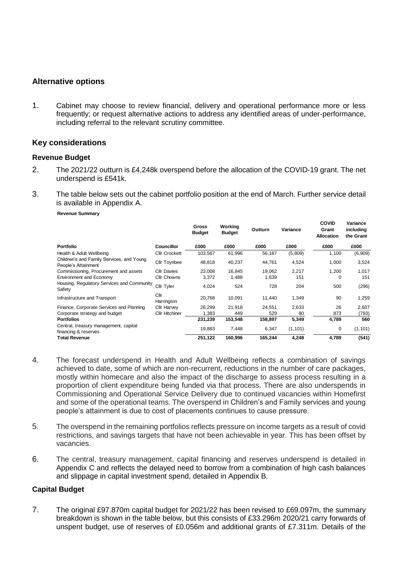#### **Alternative options**

1. Cabinet may choose to review financial, delivery and operational performance more or less frequently; or request alternative actions to address any identified areas of under-performance, including referral to the relevant scrutiny committee.

#### **Key considerations**

#### **Revenue Budget**

- 2. The 2021/22 outturn is £4,248k overspend before the allocation of the COVID-19 grant. The net underspend is £541k.
- 3. The table below sets out the cabinet portfolio position at the end of March. Further service detail is available in Appendix A.

**Revenue Summary**

|                                                                  |                      | <b>Gross</b><br><b>Budget</b> | Working<br><b>Budget</b> | Outturn | Variance | <b>COVID</b><br>Grant<br><b>Allocation</b> | Variance<br>including<br>the Grant |
|------------------------------------------------------------------|----------------------|-------------------------------|--------------------------|---------|----------|--------------------------------------------|------------------------------------|
| <b>Portfolio</b>                                                 | <b>Councillor</b>    | £000                          | £000                     | £000    | £000     | £000                                       | £000                               |
| Health & Adult Wellbeing                                         | <b>Cllr Crockett</b> | 103,567                       | 61,996                   | 56,187  | (5,809)  | 1,100                                      | (6,909)                            |
| Children's and Family Services, and Young<br>People's Attainment | Cllr Toynbee         | 48,818                        | 40,237                   | 44,761  | 4,524    | 1,000                                      | 3,524                              |
| Commissioning, Procurement and assets                            | <b>Cllr Davies</b>   | 23,008                        | 16,845                   | 19,062  | 2,217    | 1,200                                      | 1,017                              |
| <b>Environment and Economy</b>                                   | <b>Cllr Chowns</b>   | 3,372                         | 1,488                    | 1,639   | 151      | 0                                          | 151                                |
| Housing, Regulatory Services and Community<br>Safety             | Cllr Tyler           | 4,024                         | 524                      | 728     | 204      | 500                                        | (296)                              |
| Infrastructure and Transport                                     | Cllr<br>Harrington   | 20,768                        | 10,091                   | 11,440  | 1,349    | 90                                         | 1,259                              |
| Finance, Corporate Services and Planning                         | <b>Cllr Harvey</b>   | 26,299                        | 21,918                   | 24.551  | 2,633    | 26                                         | 2,607                              |
| Corporate strategy and budget                                    | Cllr Hitchiner       | 1,383                         | 449                      | 529     | 80       | 873                                        | (793)                              |
| <b>Portfolios</b>                                                |                      | 231,239                       | 153,548                  | 158,897 | 5,349    | 4,789                                      | 560                                |
| Central, treasury management, capital<br>financing & reserves    |                      | 19,883                        | 7,448                    | 6,347   | (1, 101) | 0                                          | (1, 101)                           |
| <b>Total Revenue</b>                                             |                      | 251,122                       | 160,996                  | 165,244 | 4,248    | 4,789                                      | (541)                              |

- 4. The forecast underspend in Health and Adult Wellbeing reflects a combination of savings achieved to date, some of which are non-recurrent, reductions in the number of care packages, mostly within homecare and also the impact of the discharge to assess process resulting in a proportion of client expenditure being funded via that process. There are also underspends in Commissioning and Operational Service Delivery due to continued vacancies within Homefirst and some of the operational teams. The overspend in Children's and Family services and young people's attainment is due to cost of placements continues to cause pressure.
- 5. The overspend in the remaining portfolios reflects pressure on income targets as a result of covid restrictions, and savings targets that have not been achievable in year. This has been offset by vacancies.
- 6. The central, treasury management, capital financing and reserves underspend is detailed in Appendix C and reflects the delayed need to borrow from a combination of high cash balances and slippage in capital investment spend, detailed in Appendix B.

#### **Capital Budget**

7. The original £97.870m capital budget for 2021/22 has been revised to £69.097m, the summary breakdown is shown in the table below, but this consists of £33.296m 2020/21 carry forwards of unspent budget, use of reserves of £0.056m and additional grants of £7.311m. Details of the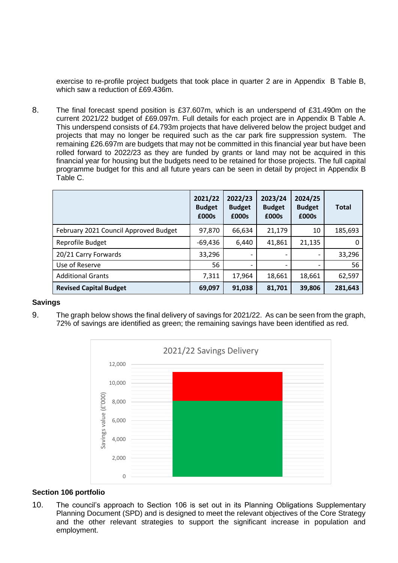exercise to re-profile project budgets that took place in quarter 2 are in Appendix B Table B, which saw a reduction of £69.436m.

8. The final forecast spend position is £37.607m, which is an underspend of £31.490m on the current 2021/22 budget of £69.097m. Full details for each project are in Appendix B Table A. This underspend consists of £4.793m projects that have delivered below the project budget and projects that may no longer be required such as the car park fire suppression system. The remaining £26.697m are budgets that may not be committed in this financial year but have been rolled forward to 2022/23 as they are funded by grants or land may not be acquired in this financial year for housing but the budgets need to be retained for those projects. The full capital programme budget for this and all future years can be seen in detail by project in Appendix B Table C.

|                                       | 2021/22<br><b>Budget</b><br>£000s | 2022/23<br><b>Budget</b><br>£000s | 2023/24<br><b>Budget</b><br>£000s | 2024/25<br><b>Budget</b><br>£000s | <b>Total</b> |
|---------------------------------------|-----------------------------------|-----------------------------------|-----------------------------------|-----------------------------------|--------------|
| February 2021 Council Approved Budget | 97,870                            | 66,634                            | 21,179                            | 10                                | 185,693      |
| Reprofile Budget                      | $-69,436$                         | 6,440                             | 41,861                            | 21,135                            | 0            |
| 20/21 Carry Forwards                  | 33,296                            |                                   |                                   |                                   | 33,296       |
| Use of Reserve                        | 56                                |                                   | $\overline{\phantom{a}}$          |                                   | 56           |
| <b>Additional Grants</b>              | 7,311                             | 17,964                            | 18,661                            | 18,661                            | 62,597       |
| <b>Revised Capital Budget</b>         | 69,097                            | 91,038                            | 81,701                            | 39,806                            | 281,643      |

#### **Savings**

9. The graph below shows the final delivery of savings for 2021/22. As can be seen from the graph, 72% of savings are identified as green; the remaining savings have been identified as red.



#### **Section 106 portfolio**

10. The council's approach to Section 106 is set out in its Planning Obligations Supplementary Planning Document (SPD) and is designed to meet the relevant objectives of the Core Strategy and the other relevant strategies to support the significant increase in population and employment.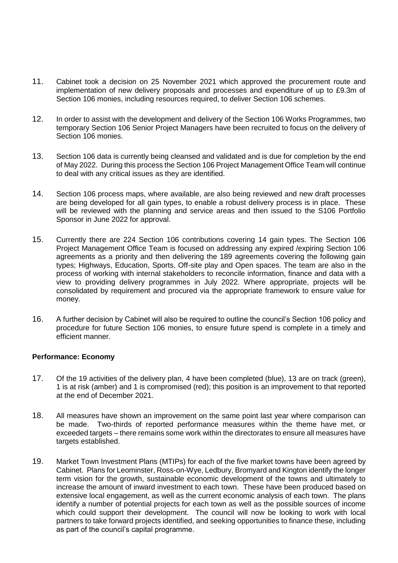- 11. Cabinet took a decision on 25 November 2021 which approved the procurement route and implementation of new delivery proposals and processes and expenditure of up to £9.3m of Section 106 monies, including resources required, to deliver Section 106 schemes.
- 12. In order to assist with the development and delivery of the Section 106 Works Programmes, two temporary Section 106 Senior Project Managers have been recruited to focus on the delivery of Section 106 monies.
- 13. Section 106 data is currently being cleansed and validated and is due for completion by the end of May 2022. During this process the Section 106 Project Management Office Team will continue to deal with any critical issues as they are identified.
- 14. Section 106 process maps, where available, are also being reviewed and new draft processes are being developed for all gain types, to enable a robust delivery process is in place. These will be reviewed with the planning and service areas and then issued to the S106 Portfolio Sponsor in June 2022 for approval.
- 15. Currently there are 224 Section 106 contributions covering 14 gain types. The Section 106 Project Management Office Team is focused on addressing any expired /expiring Section 106 agreements as a priority and then delivering the 189 agreements covering the following gain types; Highways, Education, Sports, Off-site play and Open spaces. The team are also in the process of working with internal stakeholders to reconcile information, finance and data with a view to providing delivery programmes in July 2022. Where appropriate, projects will be consolidated by requirement and procured via the appropriate framework to ensure value for money.
- 16. A further decision by Cabinet will also be required to outline the council's Section 106 policy and procedure for future Section 106 monies, to ensure future spend is complete in a timely and efficient manner.

#### **Performance: Economy**

- 17. Of the 19 activities of the delivery plan, 4 have been completed (blue), 13 are on track (green), 1 is at risk (amber) and 1 is compromised (red); this position is an improvement to that reported at the end of December 2021.
- 18. All measures have shown an improvement on the same point last year where comparison can be made. Two-thirds of reported performance measures within the theme have met, or exceeded targets – there remains some work within the directorates to ensure all measures have targets established.
- 19. Market Town Investment Plans (MTIPs) for each of the five market towns have been agreed by Cabinet. Plans for Leominster, Ross-on-Wye, Ledbury, Bromyard and Kington identify the longer term vision for the growth, sustainable economic development of the towns and ultimately to increase the amount of inward investment to each town. These have been produced based on extensive local engagement, as well as the current economic analysis of each town. The plans identify a number of potential projects for each town as well as the possible sources of income which could support their development. The council will now be looking to work with local partners to take forward projects identified, and seeking opportunities to finance these, including as part of the council's capital programme.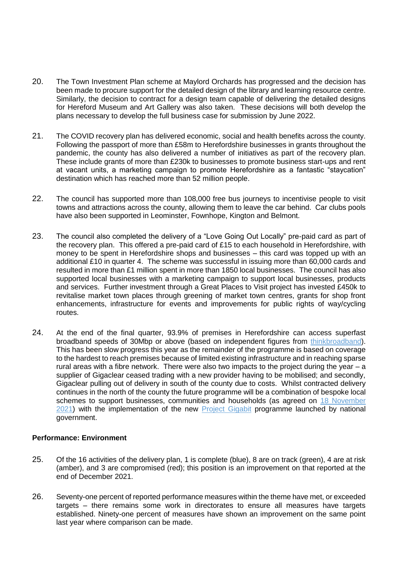- 20. The Town Investment Plan scheme at Maylord Orchards has progressed and the decision has been made to procure support for the detailed design of the library and learning resource centre. Similarly, the decision to contract for a design team capable of delivering the detailed designs for Hereford Museum and Art Gallery was also taken. These decisions will both develop the plans necessary to develop the full business case for submission by June 2022.
- 21. The COVID recovery plan has delivered economic, social and health benefits across the county. Following the passport of more than £58m to Herefordshire businesses in grants throughout the pandemic, the county has also delivered a number of initiatives as part of the recovery plan. These include grants of more than £230k to businesses to promote business start-ups and rent at vacant units, a marketing campaign to promote Herefordshire as a fantastic "staycation" destination which has reached more than 52 million people.
- 22. The council has supported more than 108,000 free bus journeys to incentivise people to visit towns and attractions across the county, allowing them to leave the car behind. Car clubs pools have also been supported in Leominster, Fownhope, Kington and Belmont.
- 23. The council also completed the delivery of a "Love Going Out Locally" pre-paid card as part of the recovery plan. This offered a pre-paid card of £15 to each household in Herefordshire, with money to be spent in Herefordshire shops and businesses – this card was topped up with an additional £10 in quarter 4. The scheme was successful in issuing more than 60,000 cards and resulted in more than £1 million spent in more than 1850 local businesses. The council has also supported local businesses with a marketing campaign to support local businesses, products and services. Further investment through a Great Places to Visit project has invested £450k to revitalise market town places through greening of market town centres, grants for shop front enhancements, infrastructure for events and improvements for public rights of way/cycling routes.
- 24. At the end of the final quarter, 93.9% of premises in Herefordshire can access superfast broadband speeds of 30Mbp or above (based on independent figures from [thinkbroadband\)](https://labs.thinkbroadband.com/local/E06000019). This has been slow progress this year as the remainder of the programme is based on coverage to the hardest to reach premises because of limited existing infrastructure and in reaching sparse rural areas with a fibre network. There were also two impacts to the project during the year – a supplier of Gigaclear ceased trading with a new provider having to be mobilised; and secondly, Gigaclear pulling out of delivery in south of the county due to costs. Whilst contracted delivery continues in the north of the county the future programme will be a combination of bespoke local schemes to support businesses, communities and households (as agreed on 18 November [2021\)](https://councillors.herefordshire.gov.uk/mgIssueHistoryHome.aspx?IId=50039145) with the implementation of the new [Project Gigabit](https://www.gov.uk/guidance/project-gigabit-uk-gigabit-programme) programme launched by national government.

#### **Performance: Environment**

- 25. Of the 16 activities of the delivery plan, 1 is complete (blue), 8 are on track (green), 4 are at risk (amber), and 3 are compromised (red); this position is an improvement on that reported at the end of December 2021.
- 26. Seventy-one percent of reported performance measures within the theme have met, or exceeded targets – there remains some work in directorates to ensure all measures have targets established. Ninety-one percent of measures have shown an improvement on the same point last year where comparison can be made.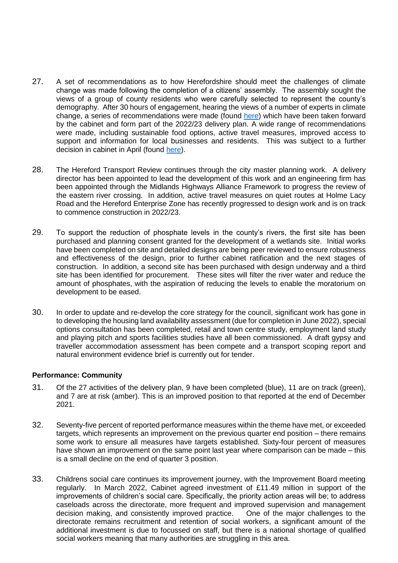- 27. A set of recommendations as to how Herefordshire should meet the challenges of climate change was made following the completion of a citizens' assembly. The assembly sought the views of a group of county residents who were carefully selected to represent the county's demography. After 30 hours of engagement, hearing the views of a number of experts in climate change, a series of recommendations were made (found [here\)](https://councillors.herefordshire.gov.uk/documents/s50098316/Appendix%20A%20-%20Recommendations%20from%20Citizen%20Climate%20Assembly.pdf) which have been taken forward by the cabinet and form part of the 2022/23 delivery plan. A wide range of recommendations were made, including sustainable food options, active travel measures, improved access to support and information for local businesses and residents. This was subject to a further decision in cabinet in April (found [here\)](https://councillors.herefordshire.gov.uk/ieListDocuments.aspx?CId=251&MId=8148&Ver=4).
- 28. The Hereford Transport Review continues through the city master planning work. A delivery director has been appointed to lead the development of this work and an engineering firm has been appointed through the Midlands Highways Alliance Framework to progress the review of the eastern river crossing. In addition, active travel measures on quiet routes at Holme Lacy Road and the Hereford Enterprise Zone has recently progressed to design work and is on track to commence construction in 2022/23.
- 29. To support the reduction of phosphate levels in the county's rivers, the first site has been purchased and planning consent granted for the development of a wetlands site. Initial works have been completed on site and detailed designs are being peer reviewed to ensure robustness and effectiveness of the design, prior to further cabinet ratification and the next stages of construction. In addition, a second site has been purchased with design underway and a third site has been identified for procurement. These sites will filter the river water and reduce the amount of phosphates, with the aspiration of reducing the levels to enable the moratorium on development to be eased.
- 30. In order to update and re-develop the core strategy for the council, significant work has gone in to developing the housing land availability assessment (due for completion in June 2022), special options consultation has been completed, retail and town centre study, employment land study and playing pitch and sports facilities studies have all been commissioned. A draft gypsy and traveller accommodation assessment has been compete and a transport scoping report and natural environment evidence brief is currently out for tender.

#### **Performance: Community**

- 31. Of the 27 activities of the delivery plan, 9 have been completed (blue), 11 are on track (green), and 7 are at risk (amber). This is an improved position to that reported at the end of December 2021.
- 32. Seventy-five percent of reported performance measures within the theme have met, or exceeded targets, which represents an improvement on the previous quarter end position – there remains some work to ensure all measures have targets established. Sixty-four percent of measures have shown an improvement on the same point last year where comparison can be made – this is a small decline on the end of quarter 3 position.
- 33. Childrens social care continues its improvement journey, with the Improvement Board meeting regularly. In March 2022, Cabinet agreed investment of £11.49 million in support of the improvements of children's social care. Specifically, the priority action areas will be; to address caseloads across the directorate, more frequent and improved supervision and management decision making, and consistently improved practice. One of the major challenges to the directorate remains recruitment and retention of social workers, a significant amount of the additional investment is due to focussed on staff, but there is a national shortage of qualified social workers meaning that many authorities are struggling in this area.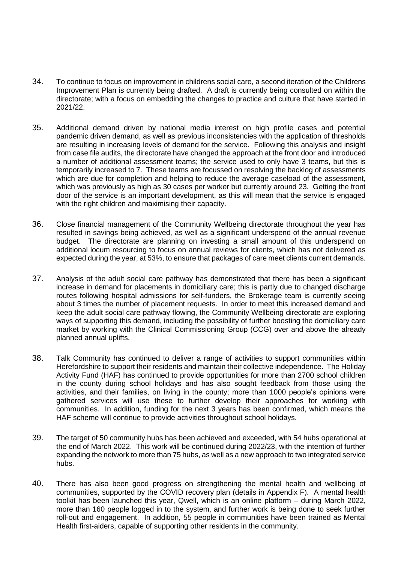- 34. To continue to focus on improvement in childrens social care, a second iteration of the Childrens Improvement Plan is currently being drafted. A draft is currently being consulted on within the directorate; with a focus on embedding the changes to practice and culture that have started in 2021/22.
- 35. Additional demand driven by national media interest on high profile cases and potential pandemic driven demand, as well as previous inconsistencies with the application of thresholds are resulting in increasing levels of demand for the service. Following this analysis and insight from case file audits, the directorate have changed the approach at the front door and introduced a number of additional assessment teams; the service used to only have 3 teams, but this is temporarily increased to 7. These teams are focussed on resolving the backlog of assessments which are due for completion and helping to reduce the average caseload of the assessment, which was previously as high as 30 cases per worker but currently around 23. Getting the front door of the service is an important development, as this will mean that the service is engaged with the right children and maximising their capacity.
- 36. Close financial management of the Community Wellbeing directorate throughout the year has resulted in savings being achieved, as well as a significant underspend of the annual revenue budget. The directorate are planning on investing a small amount of this underspend on additional locum resourcing to focus on annual reviews for clients, which has not delivered as expected during the year, at 53%, to ensure that packages of care meet clients current demands.
- 37. Analysis of the adult social care pathway has demonstrated that there has been a significant increase in demand for placements in domiciliary care; this is partly due to changed discharge routes following hospital admissions for self-funders, the Brokerage team is currently seeing about 3 times the number of placement requests. In order to meet this increased demand and keep the adult social care pathway flowing, the Community Wellbeing directorate are exploring ways of supporting this demand, including the possibility of further boosting the domiciliary care market by working with the Clinical Commissioning Group (CCG) over and above the already planned annual uplifts.
- 38. Talk Community has continued to deliver a range of activities to support communities within Herefordshire to support their residents and maintain their collective independence. The Holiday Activity Fund (HAF) has continued to provide opportunities for more than 2700 school children in the county during school holidays and has also sought feedback from those using the activities, and their families, on living in the county; more than 1000 people's opinions were gathered services will use these to further develop their approaches for working with communities. In addition, funding for the next 3 years has been confirmed, which means the HAF scheme will continue to provide activities throughout school holidays.
- 39. The target of 50 community hubs has been achieved and exceeded, with 54 hubs operational at the end of March 2022. This work will be continued during 2022/23, with the intention of further expanding the network to more than 75 hubs, as well as a new approach to two integrated service hubs.
- 40. There has also been good progress on strengthening the mental health and wellbeing of communities, supported by the COVID recovery plan (details in Appendix F). A mental health toolkit has been launched this year, Qwell, which is an online platform – during March 2022, more than 160 people logged in to the system, and further work is being done to seek further roll-out and engagement. In addition, 55 people in communities have been trained as Mental Health first-aiders, capable of supporting other residents in the community.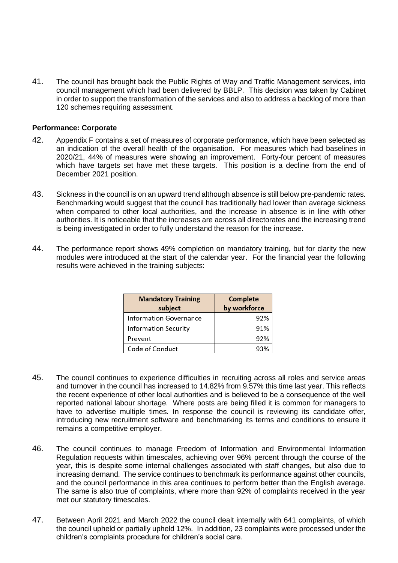41. The council has brought back the Public Rights of Way and Traffic Management services, into council management which had been delivered by BBLP. This decision was taken by Cabinet in order to support the transformation of the services and also to address a backlog of more than 120 schemes requiring assessment.

#### **Performance: Corporate**

- 42. Appendix F contains a set of measures of corporate performance, which have been selected as an indication of the overall health of the organisation. For measures which had baselines in 2020/21, 44% of measures were showing an improvement. Forty-four percent of measures which have targets set have met these targets. This position is a decline from the end of December 2021 position.
- 43. Sickness in the council is on an upward trend although absence is still below pre-pandemic rates. Benchmarking would suggest that the council has traditionally had lower than average sickness when compared to other local authorities, and the increase in absence is in line with other authorities. It is noticeable that the increases are across all directorates and the increasing trend is being investigated in order to fully understand the reason for the increase.
- 44. The performance report shows 49% completion on mandatory training, but for clarity the new modules were introduced at the start of the calendar year. For the financial year the following results were achieved in the training subjects:

| <b>Mandatory Training</b>     | Complete     |  |  |
|-------------------------------|--------------|--|--|
| subject                       | by workforce |  |  |
| <b>Information Governance</b> | 92%          |  |  |
| <b>Information Security</b>   | 91%          |  |  |
| Prevent                       | 92%          |  |  |
| Code of Conduct               | 93%          |  |  |

- 45. The council continues to experience difficulties in recruiting across all roles and service areas and turnover in the council has increased to 14.82% from 9.57% this time last year. This reflects the recent experience of other local authorities and is believed to be a consequence of the well reported national labour shortage. Where posts are being filled it is common for managers to have to advertise multiple times. In response the council is reviewing its candidate offer, introducing new recruitment software and benchmarking its terms and conditions to ensure it remains a competitive employer.
- 46. The council continues to manage Freedom of Information and Environmental Information Regulation requests within timescales, achieving over 96% percent through the course of the year, this is despite some internal challenges associated with staff changes, but also due to increasing demand. The service continues to benchmark its performance against other councils, and the council performance in this area continues to perform better than the English average. The same is also true of complaints, where more than 92% of complaints received in the year met our statutory timescales.
- 47. Between April 2021 and March 2022 the council dealt internally with 641 complaints, of which the council upheld or partially upheld 12%. In addition, 23 complaints were processed under the children's complaints procedure for children's social care.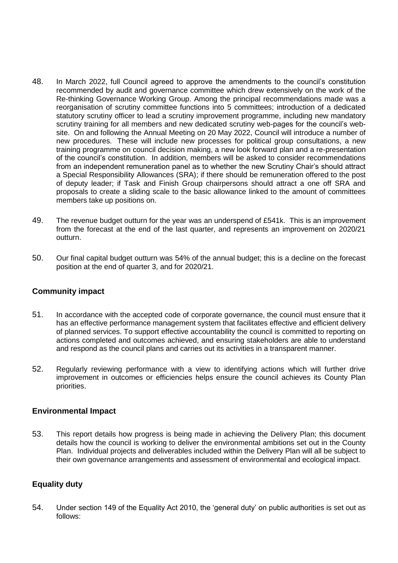- 48. In March 2022, full Council agreed to approve the amendments to the council's constitution recommended by audit and governance committee which drew extensively on the work of the Re-thinking Governance Working Group. Among the principal recommendations made was a reorganisation of scrutiny committee functions into 5 committees; introduction of a dedicated statutory scrutiny officer to lead a scrutiny improvement programme, including new mandatory scrutiny training for all members and new dedicated scrutiny web-pages for the council's website. On and following the Annual Meeting on 20 May 2022, Council will introduce a number of new procedures. These will include new processes for political group consultations, a new training programme on council decision making, a new look forward plan and a re-presentation of the council's constitution. In addition, members will be asked to consider recommendations from an independent remuneration panel as to whether the new Scrutiny Chair's should attract a Special Responsibility Allowances (SRA); if there should be remuneration offered to the post of deputy leader; if Task and Finish Group chairpersons should attract a one off SRA and proposals to create a sliding scale to the basic allowance linked to the amount of committees members take up positions on.
- 49. The revenue budget outturn for the year was an underspend of £541k. This is an improvement from the forecast at the end of the last quarter, and represents an improvement on 2020/21 outturn.
- 50. Our final capital budget outturn was 54% of the annual budget; this is a decline on the forecast position at the end of quarter 3, and for 2020/21.

## **Community impact**

- 51. In accordance with the accepted code of corporate governance, the council must ensure that it has an effective performance management system that facilitates effective and efficient delivery of planned services. To support effective accountability the council is committed to reporting on actions completed and outcomes achieved, and ensuring stakeholders are able to understand and respond as the council plans and carries out its activities in a transparent manner.
- 52. Regularly reviewing performance with a view to identifying actions which will further drive improvement in outcomes or efficiencies helps ensure the council achieves its County Plan priorities.

#### **Environmental Impact**

53. This report details how progress is being made in achieving the Delivery Plan; this document details how the council is working to deliver the environmental ambitions set out in the County Plan. Individual projects and deliverables included within the Delivery Plan will all be subject to their own governance arrangements and assessment of environmental and ecological impact.

## **Equality duty**

54. Under section 149 of the Equality Act 2010, the 'general duty' on public authorities is set out as follows: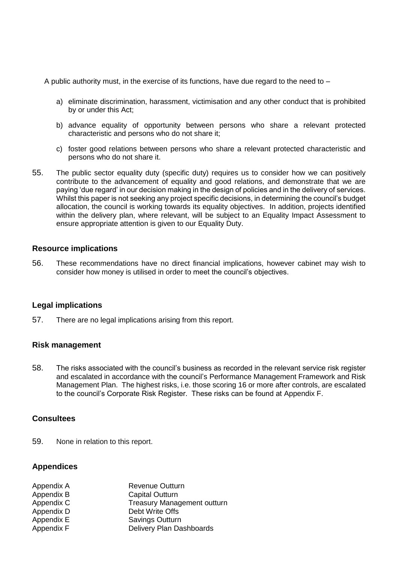A public authority must, in the exercise of its functions, have due regard to the need to –

- a) eliminate discrimination, harassment, victimisation and any other conduct that is prohibited by or under this Act;
- b) advance equality of opportunity between persons who share a relevant protected characteristic and persons who do not share it;
- c) foster good relations between persons who share a relevant protected characteristic and persons who do not share it.
- 55. The public sector equality duty (specific duty) requires us to consider how we can positively contribute to the advancement of equality and good relations, and demonstrate that we are paying 'due regard' in our decision making in the design of policies and in the delivery of services. Whilst this paper is not seeking any project specific decisions, in determining the council's budget allocation, the council is working towards its equality objectives. In addition, projects identified within the delivery plan, where relevant, will be subject to an Equality Impact Assessment to ensure appropriate attention is given to our Equality Duty.

#### **Resource implications**

56. These recommendations have no direct financial implications, however cabinet may wish to consider how money is utilised in order to meet the council's objectives.

#### **Legal implications**

57. There are no legal implications arising from this report.

#### **Risk management**

58. The risks associated with the council's business as recorded in the relevant service risk register and escalated in accordance with the council's Performance Management Framework and Risk Management Plan. The highest risks, i.e. those scoring 16 or more after controls, are escalated to the council's Corporate Risk Register. These risks can be found at Appendix F.

#### **Consultees**

59. None in relation to this report.

#### **Appendices**

| Appendix A | <b>Revenue Outturn</b>             |
|------------|------------------------------------|
| Appendix B | <b>Capital Outturn</b>             |
| Appendix C | <b>Treasury Management outturn</b> |
| Appendix D | Debt Write Offs                    |
| Appendix E | Savings Outturn                    |
| Appendix F | Delivery Plan Dashboards           |